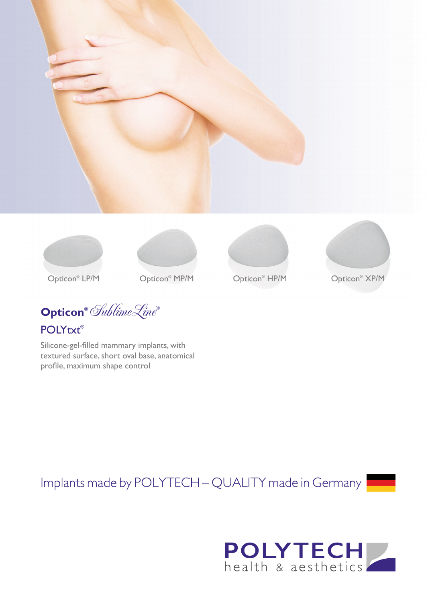









Opticon<sup>®</sup> LP/M

Opticon® Opticon XP/M ®

Opticon<sup>®</sup> HP/M

Opticon<sup>®</sup> XP/M

**Opticon®** SublimeLine**®** POLYtxt®

Silicone-gel-filled mammary implants, with textured surface, short oval base, anatomical profile, maximum shape control

Implants made by POLYTECH - QUALITY made in Germany